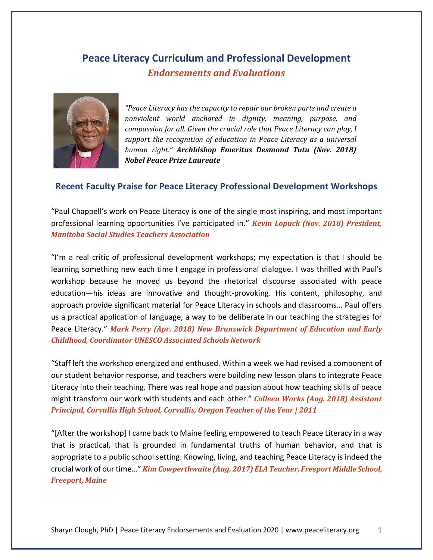# **Peace Literacy Curriculum and Professional Development** *Endorsements and Evaluations*



*"Peace Literacy has the capacity to repair our broken parts and create a nonviolent* world anchored in dignity, meaning, purpose, and *compassion for all. Given the crucial role that Peace Literacy can play, I* support the recognition of education in Peace Literacy as a universal *human right." Archbishop Emeritus Desmond Tutu (Nov. 2018) Nobel Peace Prize Laureate*

### **Recent Faculty Praise for Peace Literacy Professional Development Workshops**

"Paul Chappell's work on Peace Literacy is one of the single most inspiring, and most important professional learning opportunities I've participated in." *Kevin Lopuck (Nov. 2018)* President, *Manitoba Social Studies Teachers Association*

"I'm a real critic of professional development workshops; my expectation is that I should be learning something new each time I engage in professional dialogue. I was thrilled with Paul's workshop because he moved us beyond the rhetorical discourse associated with peace education—his ideas are innovative and thought-provoking. His content, philosophy, and approach provide significant material for Peace Literacy in schools and classrooms… Paul offers us a practical application of language, a way to be deliberate in our teaching the strategies for Peace Literacy." Mark Perry *(Apr. 2018)* New Brunswick Department of Education and Early *Childhood, Coordinator UNESCO Associated Schools Network*

"Staff left the workshop energized and enthused. Within a week we had revised a component of our student behavior response, and teachers were building new lesson plans to integrate Peace Literacy into their teaching. There was real hope and passion about how teaching skills of peace might transform our work with students and each other." **Colleen Works (Aug. 2018) Assistant** *Principal, Corvallis High School, Corvallis, Oregon Teacher of the Year | 2011* 

"[After the workshop] I came back to Maine feeling empowered to teach Peace Literacy in a way that is practical, that is grounded in fundamental truths of human behavior, and that is appropriate to a public school setting. Knowing, living, and teaching Peace Literacy is indeed the crucial work of our time…" *Kim Cowperthwaite (Aug. 2017) ELA Teacher, Freeport Middle School, Freeport, Maine*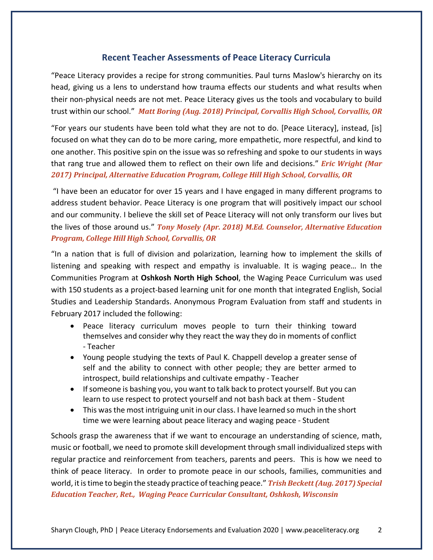### **Recent Teacher Assessments of Peace Literacy Curricula**

"Peace Literacy provides a recipe for strong communities. Paul turns Maslow's hierarchy on its head, giving us a lens to understand how trauma effects our students and what results when their non-physical needs are not met. Peace Literacy gives us the tools and vocabulary to build trust within our school." Matt Boring (Aug. 2018) Principal, Corvallis High School, Corvallis, OR

"For years our students have been told what they are not to do. [Peace Literacy], instead, [is] focused on what they can do to be more caring, more empathetic, more respectful, and kind to one another. This positive spin on the issue was so refreshing and spoke to our students in ways that rang true and allowed them to reflect on their own life and decisions." *Eric Wright (Mar*  2017) Principal, Alternative Education Program, College Hill High School, Corvallis, OR

"I have been an educator for over 15 years and I have engaged in many different programs to address student behavior. Peace Literacy is one program that will positively impact our school and our community. I believe the skill set of Peace Literacy will not only transform our lives but the lives of those around us." *Tony Mosely (Apr. 2018) M.Ed. Counselor, Alternative Education Program, College Hill High School, Corvallis, OR* 

"In a nation that is full of division and polarization, learning how to implement the skills of listening and speaking with respect and empathy is invaluable. It is waging peace… In the Communities Program at **Oshkosh North High School**, the Waging Peace Curriculum was used with 150 students as a project-based learning unit for one month that integrated English, Social Studies and Leadership Standards. Anonymous Program Evaluation from staff and students in February 2017 included the following:

- Peace literacy curriculum moves people to turn their thinking toward themselves and consider why they react the way they do in moments of conflict - Teacher
- Young people studying the texts of Paul K. Chappell develop a greater sense of self and the ability to connect with other people; they are better armed to introspect, build relationships and cultivate empathy - Teacher
- If someone is bashing you, you want to talk back to protect yourself. But you can learn to use respect to protect yourself and not bash back at them - Student
- This was the most intriguing unit in our class. I have learned so much in the short time we were learning about peace literacy and waging peace - Student

Schools grasp the awareness that if we want to encourage an understanding of science, math, music or football, we need to promote skill development through small individualized steps with regular practice and reinforcement from teachers, parents and peers. This is how we need to think of peace literacy. In order to promote peace in our schools, families, communities and world, it is time to begin the steady practice of teaching peace." *Trish Beckett (Aug. 2017) Special Education Teacher, Ret., Waging Peace Curricular Consultant, Oshkosh, Wisconsin*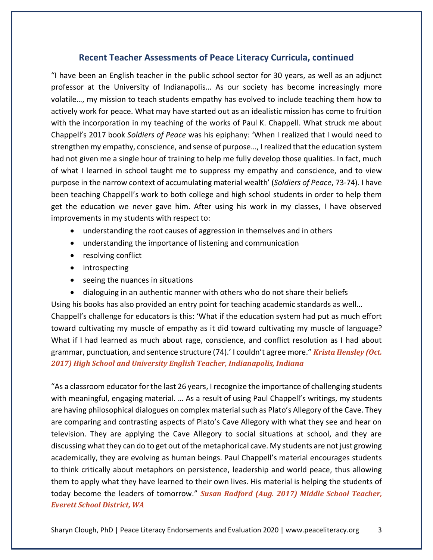## **Recent Teacher Assessments of Peace Literacy Curricula, continued**

"I have been an English teacher in the public school sector for 30 years, as well as an adjunct professor at the University of Indianapolis… As our society has become increasingly more volatile…, my mission to teach students empathy has evolved to include teaching them how to actively work for peace. What may have started out as an idealistic mission has come to fruition with the incorporation in my teaching of the works of Paul K. Chappell. What struck me about Chappell's 2017 book *Soldiers of Peace* was his epiphany: 'When I realized that I would need to strengthen my empathy, conscience, and sense of purpose…, I realized that the education system had not given me a single hour of training to help me fully develop those qualities. In fact, much of what I learned in school taught me to suppress my empathy and conscience, and to view purpose in the narrow context of accumulating material wealth' (*Soldiers of Peace*, 73-74). I have been teaching Chappell's work to both college and high school students in order to help them get the education we never gave him. After using his work in my classes, I have observed improvements in my students with respect to:

- understanding the root causes of aggression in themselves and in others
- understanding the importance of listening and communication
- resolving conflict
- introspecting
- seeing the nuances in situations
- dialoguing in an authentic manner with others who do not share their beliefs

Using his books has also provided an entry point for teaching academic standards as well… Chappell's challenge for educators is this: 'What if the education system had put as much effort toward cultivating my muscle of empathy as it did toward cultivating my muscle of language? What if I had learned as much about rage, conscience, and conflict resolution as I had about grammar, punctuation, and sentence structure (74).' I couldn't agree more." *Krista Hensley (Oct.* **2017)** High School and University English Teacher, Indianapolis, Indiana

"As a classroom educator for the last 26 years, I recognize the importance of challenging students with meaningful, engaging material. … As a result of using Paul Chappell's writings, my students are having philosophical dialogues on complex material such as Plato's Allegory of the Cave. They are comparing and contrasting aspects of Plato's Cave Allegory with what they see and hear on television. They are applying the Cave Allegory to social situations at school, and they are discussing what they can do to get out of the metaphorical cave. My students are not just growing academically, they are evolving as human beings. Paul Chappell's material encourages students to think critically about metaphors on persistence, leadership and world peace, thus allowing them to apply what they have learned to their own lives. His material is helping the students of today become the leaders of tomorrow." Susan Radford (Aug. 2017) Middle School Teacher, *Everett School District, WA*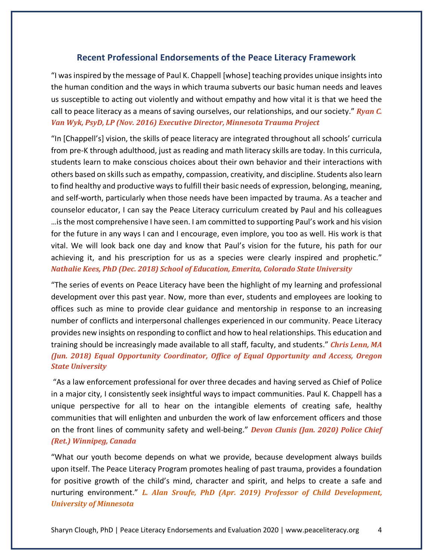### **Recent Professional Endorsements of the Peace Literacy Framework**

"I was inspired by the message of Paul K. Chappell [whose] teaching provides unique insights into the human condition and the ways in which trauma subverts our basic human needs and leaves us susceptible to acting out violently and without empathy and how vital it is that we heed the call to peace literacy as a means of saving ourselves, our relationships, and our society." *Ryan C.* Van Wyk, PsyD, LP (Nov. 2016) Executive Director, Minnesota Trauma Project

"In [Chappell's] vision, the skills of peace literacy are integrated throughout all schools' curricula from pre-K through adulthood, just as reading and math literacy skills are today. In this curricula, students learn to make conscious choices about their own behavior and their interactions with others based on skills such as empathy, compassion, creativity, and discipline. Students also learn to find healthy and productive ways to fulfill their basic needs of expression, belonging, meaning, and self-worth, particularly when those needs have been impacted by trauma. As a teacher and counselor educator, I can say the Peace Literacy curriculum created by Paul and his colleagues …is the most comprehensive I have seen. I am committed to supporting Paul's work and his vision for the future in any ways I can and I encourage, even implore, you too as well. His work is that vital. We will look back one day and know that Paul's vision for the future, his path for our achieving it, and his prescription for us as a species were clearly inspired and prophetic." *Nathalie Kees, PhD (Dec. 2018) School of Education, Emerita, Colorado State University* 

"The series of events on Peace Literacy have been the highlight of my learning and professional development over this past year. Now, more than ever, students and employees are looking to offices such as mine to provide clear guidance and mentorship in response to an increasing number of conflicts and interpersonal challenges experienced in our community. Peace Literacy provides new insights on responding to conflict and how to heal relationships. This education and training should be increasingly made available to all staff, faculty, and students." *Chris Lenn, MA (Jun. 2018) Equal Opportunity Coordinator, Office of Equal Opportunity and Access, Oregon*  **State University** 

"As a law enforcement professional for over three decades and having served as Chief of Police in a major city, I consistently seek insightful ways to impact communities. Paul K. Chappell has a unique perspective for all to hear on the intangible elements of creating safe, healthy communities that will enlighten and unburden the work of law enforcement officers and those on the front lines of community safety and well-being." *Devon Clunis (Jan. 2020) Police Chief (Ret.) Winnipeg, Canada*

"What our youth become depends on what we provide, because development always builds upon itself. The Peace Literacy Program promotes healing of past trauma, provides a foundation for positive growth of the child's mind, character and spirit, and helps to create a safe and nurturing environment." *L. Alan Sroufe, PhD (Apr. 2019) Professor of Child Development, University of Minnesota*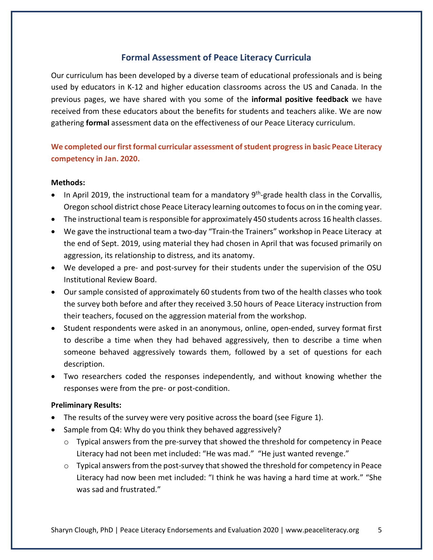# **Formal Assessment of Peace Literacy Curricula**

Our curriculum has been developed by a diverse team of educational professionals and is being used by educators in K-12 and higher education classrooms across the US and Canada. In the previous pages, we have shared with you some of the **informal positive feedback** we have received from these educators about the benefits for students and teachers alike. We are now gathering **formal** assessment data on the effectiveness of our Peace Literacy curriculum.

# **We completed our first formal curricular assessment of student progress in basic Peace Literacy competency in Jan. 2020.**

#### **Methods:**

- In April 2019, the instructional team for a mandatory  $9<sup>th</sup>$ -grade health class in the Corvallis, Oregon school district chose Peace Literacy learning outcomes to focus on in the coming year.
- The instructional team is responsible for approximately 450 students across 16 health classes.
- We gave the instructional team a two-day "Train-the Trainers" workshop in Peace Literacy at the end of Sept. 2019, using material they had chosen in April that was focused primarily on aggression, its relationship to distress, and its anatomy.
- We developed a pre- and post-survey for their students under the supervision of the OSU Institutional Review Board.
- Our sample consisted of approximately 60 students from two of the health classes who took the survey both before and after they received 3.50 hours of Peace Literacy instruction from their teachers, focused on the aggression material from the workshop.
- Student respondents were asked in an anonymous, online, open-ended, survey format first to describe a time when they had behaved aggressively, then to describe a time when someone behaved aggressively towards them, followed by a set of questions for each description.
- Two researchers coded the responses independently, and without knowing whether the responses were from the pre- or post-condition.

### **Preliminary Results:**

- The results of the survey were very positive across the board (see Figure 1).
- Sample from Q4: Why do you think they behaved aggressively?
	- $\circ$  Typical answers from the pre-survey that showed the threshold for competency in Peace Literacy had not been met included: "He was mad." "He just wanted revenge."
	- $\circ$  Typical answers from the post-survey that showed the threshold for competency in Peace Literacy had now been met included: "I think he was having a hard time at work." "She was sad and frustrated."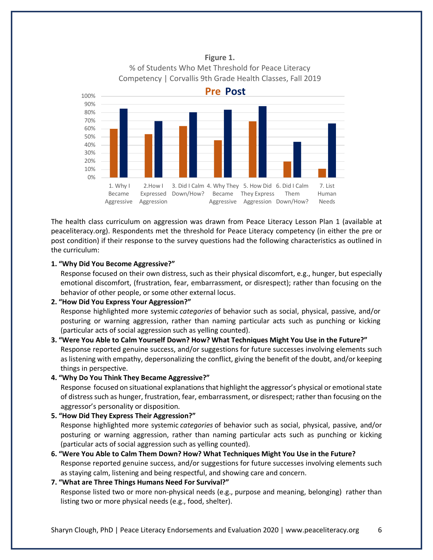

### **Figure 1.** % of Students Who Met Threshold for Peace Literacy Competency | Corvallis 9th Grade Health Classes, Fall 2019

The health class curriculum on aggression was drawn from Peace Literacy Lesson Plan 1 (available at peaceliteracy.org). Respondents met the threshold for Peace Literacy competency (in either the pre or post condition) if their response to the survey questions had the following characteristics as outlined in the curriculum:

#### **1. "Why Did You Become Aggressive?"**

Response focused on their own distress, such as their physical discomfort, e.g., hunger, but especially emotional discomfort, (frustration, fear, embarrassment, or disrespect); rather than focusing on the behavior of other people, or some other external locus.

#### **2. "How Did You Express Your Aggression?"**

Response highlighted more systemic *categories* of behavior such as social, physical, passive, and/or posturing or warning aggression, rather than naming particular acts such as punching or kicking (particular acts of social aggression such as yelling counted).

**3. "Were You Able to Calm Yourself Down? How? What Techniques Might You Use in the Future?"** Response reported genuine success, and/or suggestions for future successes involving elements such as listening with empathy, depersonalizing the conflict, giving the benefit of the doubt, and/or keeping things in perspective.

#### **4. "Why Do You Think They Became Aggressive?"**

Response focused on situational explanations that highlight the aggressor's physical or emotional state of distress such as hunger, frustration, fear, embarrassment, or disrespect; rather than focusing on the aggressor's personality or disposition.

#### **5. "How Did They Express Their Aggression?"**

Response highlighted more systemic *categories* of behavior such as social, physical, passive, and/or posturing or warning aggression, rather than naming particular acts such as punching or kicking (particular acts of social aggression such as yelling counted).

**6. "Were You Able to Calm Them Down? How? What Techniques Might You Use in the Future?** Response reported genuine success, and/or suggestions for future successes involving elements such as staying calm, listening and being respectful, and showing care and concern.

#### **7. "What are Three Things Humans Need For Survival?"**

Response listed two or more non-physical needs (e.g., purpose and meaning, belonging) rather than listing two or more physical needs (e.g., food, shelter).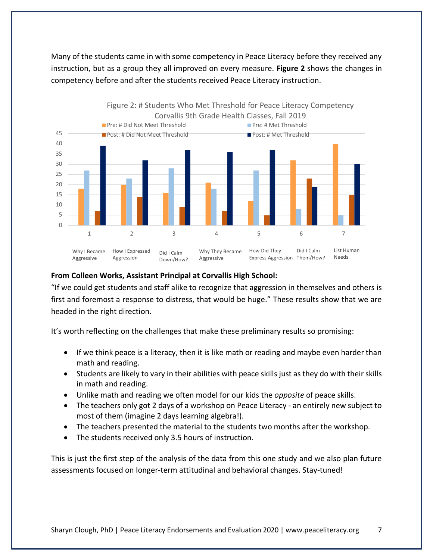Many of the students came in with some competency in Peace Literacy before they received any instruction, but as a group they all improved on every measure. **Figure 2** shows the changes in competency before and after the students received Peace Literacy instruction.



### **From Colleen Works, Assistant Principal at Corvallis High School:**

"If we could get students and staff alike to recognize that aggression in themselves and others is first and foremost a response to distress, that would be huge." These results show that we are headed in the right direction.

It's worth reflecting on the challenges that make these preliminary results so promising:

- If we think peace is a literacy, then it is like math or reading and maybe even harder than math and reading.
- Students are likely to vary in their abilities with peace skills just as they do with their skills in math and reading.
- Unlike math and reading we often model for our kids the *opposite* of peace skills.
- The teachers only got 2 days of a workshop on Peace Literacy an entirely new subject to most of them (imagine 2 days learning algebra!).
- The teachers presented the material to the students two months after the workshop.
- The students received only 3.5 hours of instruction.

This is just the first step of the analysis of the data from this one study and we also plan future assessments focused on longer-term attitudinal and behavioral changes. Stay-tuned!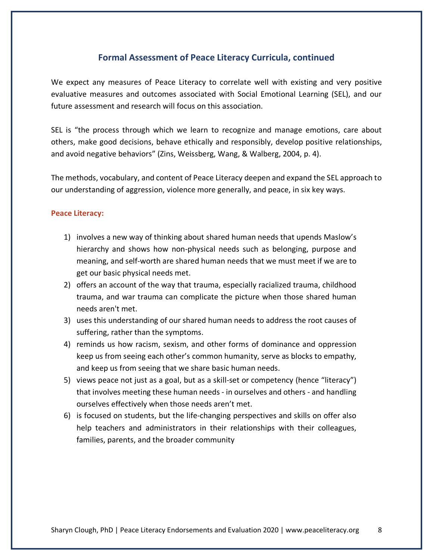## **Formal Assessment of Peace Literacy Curricula, continued**

We expect any measures of Peace Literacy to correlate well with existing and very positive evaluative measures and outcomes associated with Social Emotional Learning (SEL), and our future assessment and research will focus on this association.

SEL is "the process through which we learn to recognize and manage emotions, care about others, make good decisions, behave ethically and responsibly, develop positive relationships, and avoid negative behaviors" (Zins, Weissberg, Wang, & Walberg, 2004, p. 4).

The methods, vocabulary, and content of Peace Literacy deepen and expand the SEL approach to our understanding of aggression, violence more generally, and peace, in six key ways.

#### **Peace Literacy:**

- 1) involves a new way of thinking about shared human needs that upends Maslow's hierarchy and shows how non-physical needs such as belonging, purpose and meaning, and self-worth are shared human needs that we must meet if we are to get our basic physical needs met.
- 2) offers an account of the way that trauma, especially racialized trauma, childhood trauma, and war trauma can complicate the picture when those shared human needs aren't met.
- 3) uses this understanding of our shared human needs to address the root causes of suffering, rather than the symptoms.
- 4) reminds us how racism, sexism, and other forms of dominance and oppression keep us from seeing each other's common humanity, serve as blocks to empathy, and keep us from seeing that we share basic human needs.
- 5) views peace not just as a goal, but as a skill-set or competency (hence "literacy") that involves meeting these human needs - in ourselves and others - and handling ourselves effectively when those needs aren't met.
- 6) is focused on students, but the life-changing perspectives and skills on offer also help teachers and administrators in their relationships with their colleagues, families, parents, and the broader community